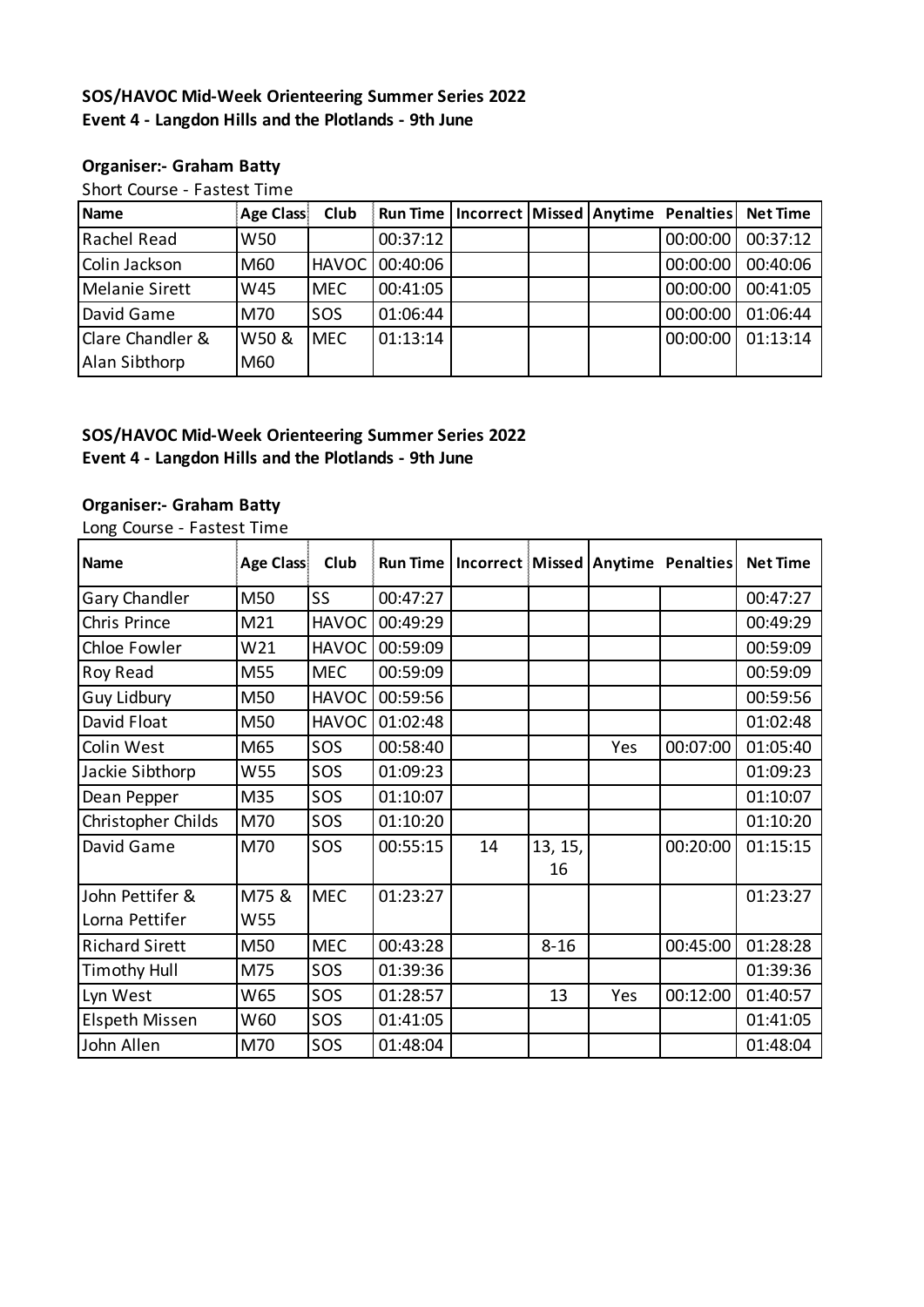### **SOS/HAVOC Mid-Week Orienteering Summer Series 2022 Event 4 - Langdon Hills and the Plotlands - 9th June**

#### **Organiser:- Graham Batty**

Short Course - Fastest Time

| <b>Name</b>                                  | <b>Age Class</b> | Club       | Run Time   Incorrect   Missed   Anytime Penalties |  |          | <b>Net Time</b> |
|----------------------------------------------|------------------|------------|---------------------------------------------------|--|----------|-----------------|
| Rachel Read                                  | W50              |            | 00:37:12                                          |  | 00:00:00 | 00:37:12        |
| Colin Jackson                                | M60              |            | HAVOC 00:40:06                                    |  | 00:00:00 | 00:40:06        |
| Melanie Sirett                               | W45              | MEC        | 00:41:05                                          |  | 00:00:00 | 00:41:05        |
| David Game                                   | M70              | <b>SOS</b> | 01:06:44                                          |  | 00:00:00 | 01:06:44        |
| <b>Clare Chandler &amp;</b><br>Alan Sibthorp | W50 &<br>M60     | <b>MEC</b> | 01:13:14                                          |  | 00:00:00 | 01:13:14        |
|                                              |                  |            |                                                   |  |          |                 |

## **SOS/HAVOC Mid-Week Orienteering Summer Series 2022 Event 4 - Langdon Hills and the Plotlands - 9th June**

## **Organiser:- Graham Batty**

Long Course - Fastest Time

| <b>Name</b>                       | <b>Age Class</b> | Club         |          | Run Time   Incorrect   Missed   Anytime Penalties |               |     |          | <b>Net Time</b> |
|-----------------------------------|------------------|--------------|----------|---------------------------------------------------|---------------|-----|----------|-----------------|
| Gary Chandler                     | M50              | SS           | 00:47:27 |                                                   |               |     |          | 00:47:27        |
| Chris Prince                      | M21              | <b>HAVOC</b> | 00:49:29 |                                                   |               |     |          | 00:49:29        |
| Chloe Fowler                      | W21              | <b>HAVOC</b> | 00:59:09 |                                                   |               |     |          | 00:59:09        |
| Roy Read                          | M55              | <b>MEC</b>   | 00:59:09 |                                                   |               |     |          | 00:59:09        |
| <b>Guy Lidbury</b>                | M50              | <b>HAVOC</b> | 00:59:56 |                                                   |               |     |          | 00:59:56        |
| David Float                       | M50              | <b>HAVOC</b> | 01:02:48 |                                                   |               |     |          | 01:02:48        |
| Colin West                        | M65              | SOS          | 00:58:40 |                                                   |               | Yes | 00:07:00 | 01:05:40        |
| Jackie Sibthorp                   | W55              | SOS          | 01:09:23 |                                                   |               |     |          | 01:09:23        |
| Dean Pepper                       | M35              | SOS          | 01:10:07 |                                                   |               |     |          | 01:10:07        |
| Christopher Childs                | M70              | SOS          | 01:10:20 |                                                   |               |     |          | 01:10:20        |
| David Game                        | M70              | SOS          | 00:55:15 | 14                                                | 13, 15,<br>16 |     | 00:20:00 | 01:15:15        |
| John Pettifer &<br>Lorna Pettifer | M75 &<br>W55     | <b>MEC</b>   | 01:23:27 |                                                   |               |     |          | 01:23:27        |
| <b>Richard Sirett</b>             | M50              | <b>MEC</b>   | 00:43:28 |                                                   | $8 - 16$      |     | 00:45:00 | 01:28:28        |
| <b>Timothy Hull</b>               | M75              | SOS          | 01:39:36 |                                                   |               |     |          | 01:39:36        |
| Lyn West                          | W65              | SOS          | 01:28:57 |                                                   | 13            | Yes | 00:12:00 | 01:40:57        |
| Elspeth Missen                    | W60              | SOS          | 01:41:05 |                                                   |               |     |          | 01:41:05        |
| John Allen                        | M70              | SOS          | 01:48:04 |                                                   |               |     |          | 01:48:04        |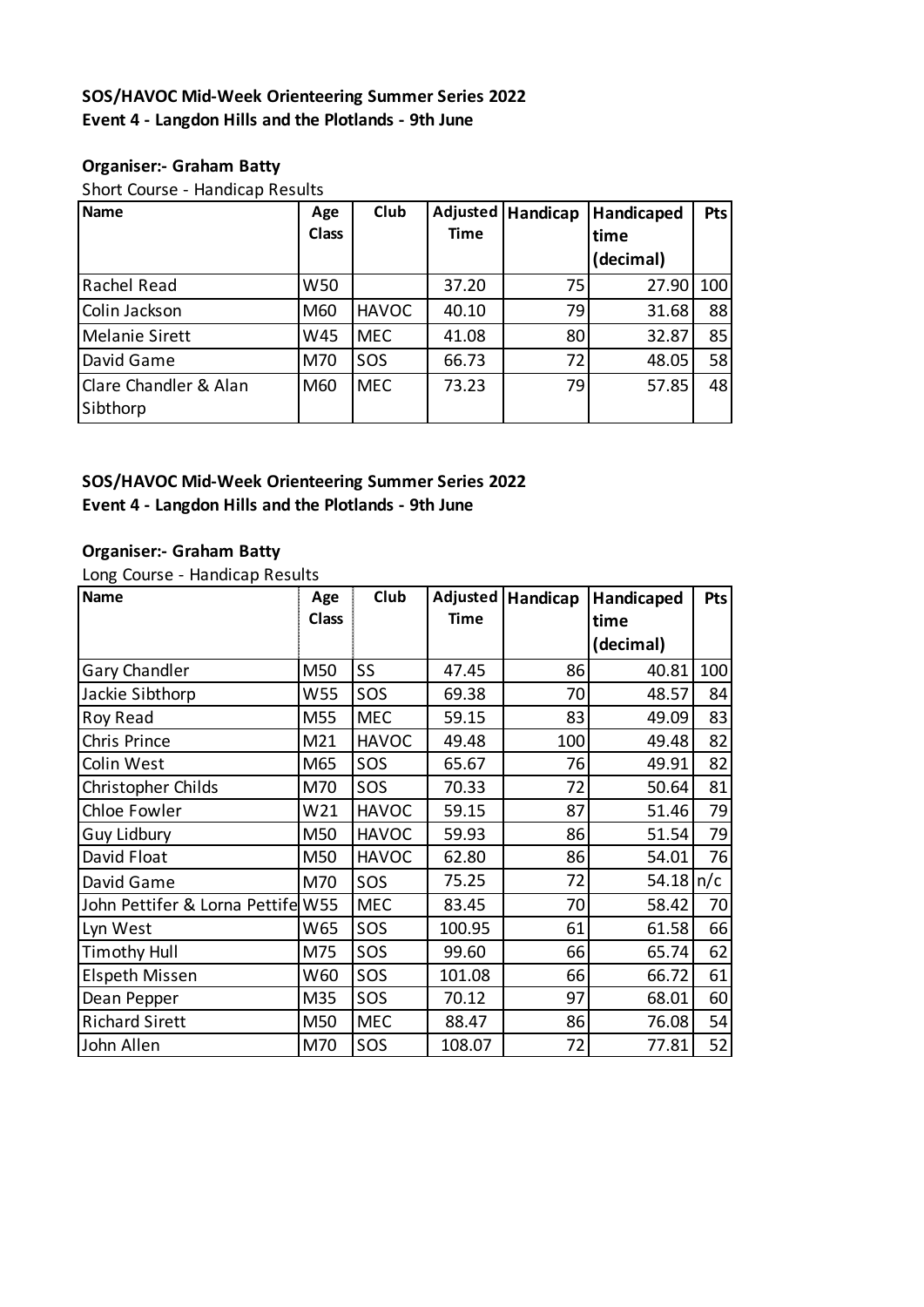### **SOS/HAVOC Mid-Week Orienteering Summer Series 2022 Event 4 - Langdon Hills and the Plotlands - 9th June**

#### **Organiser:- Graham Batty**

Short Course - Handicap Results

| <b>Name</b>           | Age          | Club         | Adjusted    | Handicap | Handicaped | <b>Pts</b> |
|-----------------------|--------------|--------------|-------------|----------|------------|------------|
|                       | <b>Class</b> |              | <b>Time</b> |          | time       |            |
|                       |              |              |             |          | (decimal)  |            |
| Rachel Read           | W50          |              | 37.20       | 75       | 27.90      | 100        |
| Colin Jackson         | M60          | <b>HAVOC</b> | 40.10       | 79       | 31.68      | 88         |
| <b>Melanie Sirett</b> | W45          | <b>MEC</b>   | 41.08       | 80       | 32.87      | 85         |
| David Game            | M70          | SOS          | 66.73       | 72       | 48.05      | 58         |
| Clare Chandler & Alan | M60          | <b>MEC</b>   | 73.23       | 79       | 57.85      | 48         |
| Sibthorp              |              |              |             |          |            |            |

### **SOS/HAVOC Mid-Week Orienteering Summer Series 2022 Event 4 - Langdon Hills and the Plotlands - 9th June**

#### **Organiser:- Graham Batty**

Long Course - Handicap Results

| <b>Name</b>                       | Age          | Club         | Adjusted    | Handicap | Handicaped            | <b>Pts</b> |
|-----------------------------------|--------------|--------------|-------------|----------|-----------------------|------------|
|                                   | <b>Class</b> |              | <b>Time</b> |          | time                  |            |
|                                   |              |              |             |          | (decimal)             |            |
| Gary Chandler                     | M50          | SS           | 47.45       | 86       | 40.81                 | 100        |
| Jackie Sibthorp                   | W55          | SOS          | 69.38       | 70       | 48.57                 | 84         |
| Roy Read                          | M55          | <b>MEC</b>   | 59.15       | 83       | 49.09                 | 83         |
| Chris Prince                      | M21          | <b>HAVOC</b> | 49.48       | 100      | 49.48                 | 82         |
| Colin West                        | M65          | SOS          | 65.67       | 76       | 49.91                 | 82         |
| Christopher Childs                | M70          | SOS          | 70.33       | 72       | 50.64                 | 81         |
| Chloe Fowler                      | W21          | <b>HAVOC</b> | 59.15       | 87       | 51.46                 | 79         |
| Guy Lidbury                       | M50          | <b>HAVOC</b> | 59.93       | 86       | 51.54                 | 79         |
| David Float                       | M50          | <b>HAVOC</b> | 62.80       | 86       | 54.01                 | 76         |
| David Game                        | M70          | SOS          | 75.25       | 72       | $54.18 \, \text{n/c}$ |            |
| John Pettifer & Lorna Pettife W55 |              | <b>MEC</b>   | 83.45       | 70       | 58.42                 | 70         |
| Lyn West                          | W65          | SOS          | 100.95      | 61       | 61.58                 | 66         |
| <b>Timothy Hull</b>               | M75          | SOS          | 99.60       | 66       | 65.74                 | 62         |
| <b>Elspeth Missen</b>             | W60          | SOS          | 101.08      | 66       | 66.72                 | 61         |
| Dean Pepper                       | M35          | SOS          | 70.12       | 97       | 68.01                 | 60         |
| <b>Richard Sirett</b>             | M50          | <b>MEC</b>   | 88.47       | 86       | 76.08                 | 54         |
| John Allen                        | M70          | SOS          | 108.07      | 72       | 77.81                 | 52         |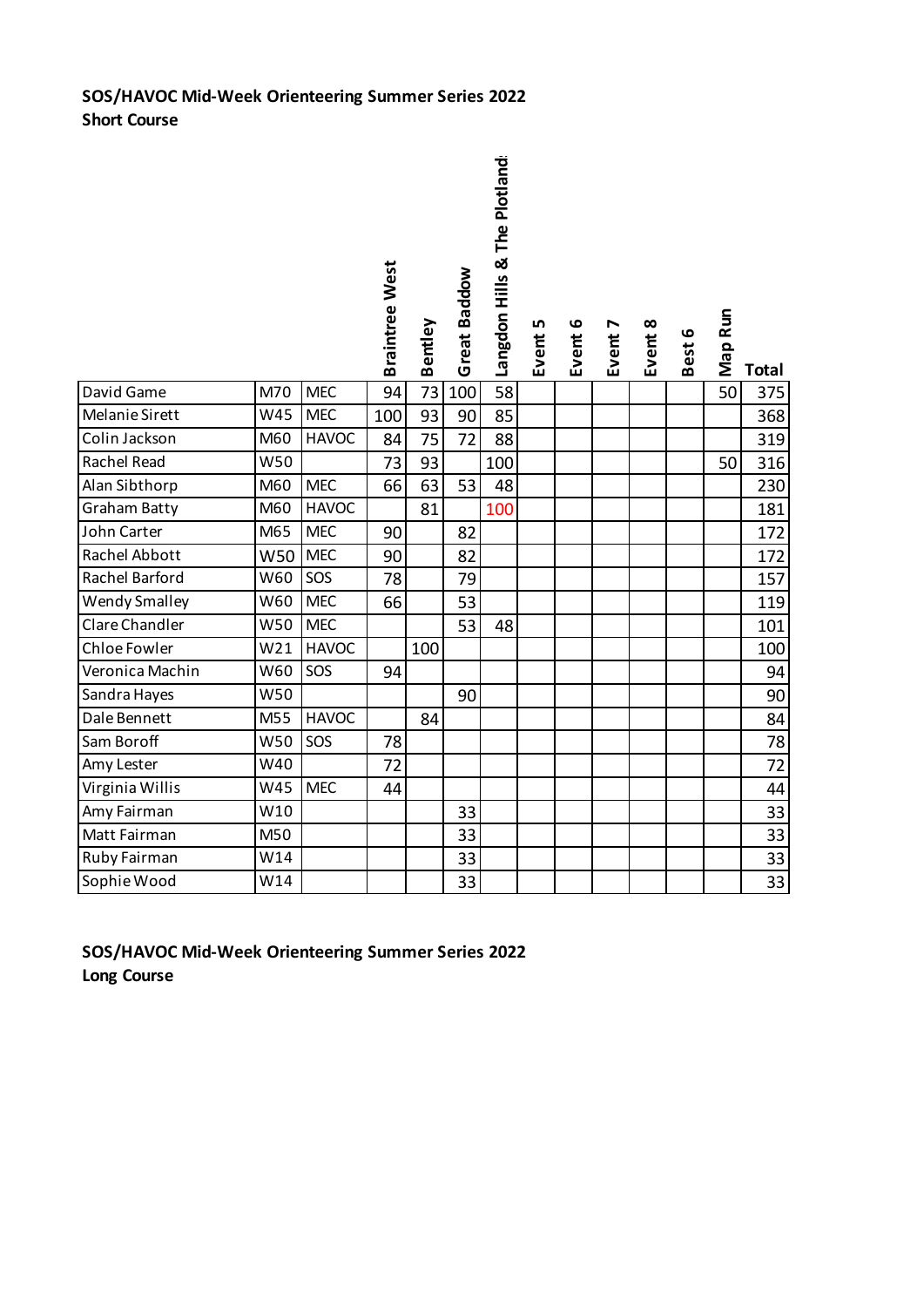# **SOS/HAVOC Mid-Week Orienteering Summer Series 2022 Short Course**

|                       |                 |              | <b>Braintree West</b> | Bentley | Great Baddow | Langdon Hills & The Plotland | LŊ<br>Event! | Event 6 | Event 7 | Event 8 | Best 6 | Map Run | <b>Total</b> |
|-----------------------|-----------------|--------------|-----------------------|---------|--------------|------------------------------|--------------|---------|---------|---------|--------|---------|--------------|
| David Game            | M70             | <b>MEC</b>   | 94                    | 73      | 100          | $\overline{58}$              |              |         |         |         |        | 50      | 375          |
| Melanie Sirett        | W45             | <b>MEC</b>   | 100                   | 93      | 90           | 85                           |              |         |         |         |        |         | 368          |
| Colin Jackson         | M60             | <b>HAVOC</b> | 84                    | 75      | 72           | 88                           |              |         |         |         |        |         | 319          |
| Rachel Read           | W50             |              | 73                    | 93      |              | 100                          |              |         |         |         |        | 50      | 316          |
| Alan Sibthorp         | M60             | <b>MEC</b>   | 66                    | 63      | 53           | 48                           |              |         |         |         |        |         | 230          |
| Graham Batty          | M60             | <b>HAVOC</b> |                       | 81      |              | 100                          |              |         |         |         |        |         | 181          |
| John Carter           | M65             | <b>MEC</b>   | 90                    |         | 82           |                              |              |         |         |         |        |         | 172          |
| Rachel Abbott         | W50             | <b>MEC</b>   | 90                    |         | 82           |                              |              |         |         |         |        |         | 172          |
| Rachel Barford        | W60             | SOS          | 78                    |         | 79           |                              |              |         |         |         |        |         | 157          |
| <b>Wendy Smalley</b>  | W60             | <b>MEC</b>   | 66                    |         | 53           |                              |              |         |         |         |        |         | 119          |
| <b>Clare Chandler</b> | W50             | <b>MEC</b>   |                       |         | 53           | 48                           |              |         |         |         |        |         | 101          |
| Chloe Fowler          | W <sub>21</sub> | <b>HAVOC</b> |                       | 100     |              |                              |              |         |         |         |        |         | 100          |
| Veronica Machin       | W60             | SOS          | 94                    |         |              |                              |              |         |         |         |        |         | 94           |
| Sandra Hayes          | W50             |              |                       |         | 90           |                              |              |         |         |         |        |         | 90           |
| Dale Bennett          | M55             | <b>HAVOC</b> |                       | 84      |              |                              |              |         |         |         |        |         | 84           |
| Sam Boroff            | W50             | SOS          | 78                    |         |              |                              |              |         |         |         |        |         | 78           |
| Amy Lester            | W40             |              | 72                    |         |              |                              |              |         |         |         |        |         | 72           |
| Virginia Willis       | W45             | <b>MEC</b>   | 44                    |         |              |                              |              |         |         |         |        |         | 44           |
| Amy Fairman           | W10             |              |                       |         | 33           |                              |              |         |         |         |        |         | 33           |
| Matt Fairman          | M50             |              |                       |         | 33           |                              |              |         |         |         |        |         | 33           |
| Ruby Fairman          | W14             |              |                       |         | 33           |                              |              |         |         |         |        |         | 33           |
| Sophie Wood           | W14             |              |                       |         | 33           |                              |              |         |         |         |        |         | 33           |

**SOS/HAVOC Mid-Week Orienteering Summer Series 2022 Long Course**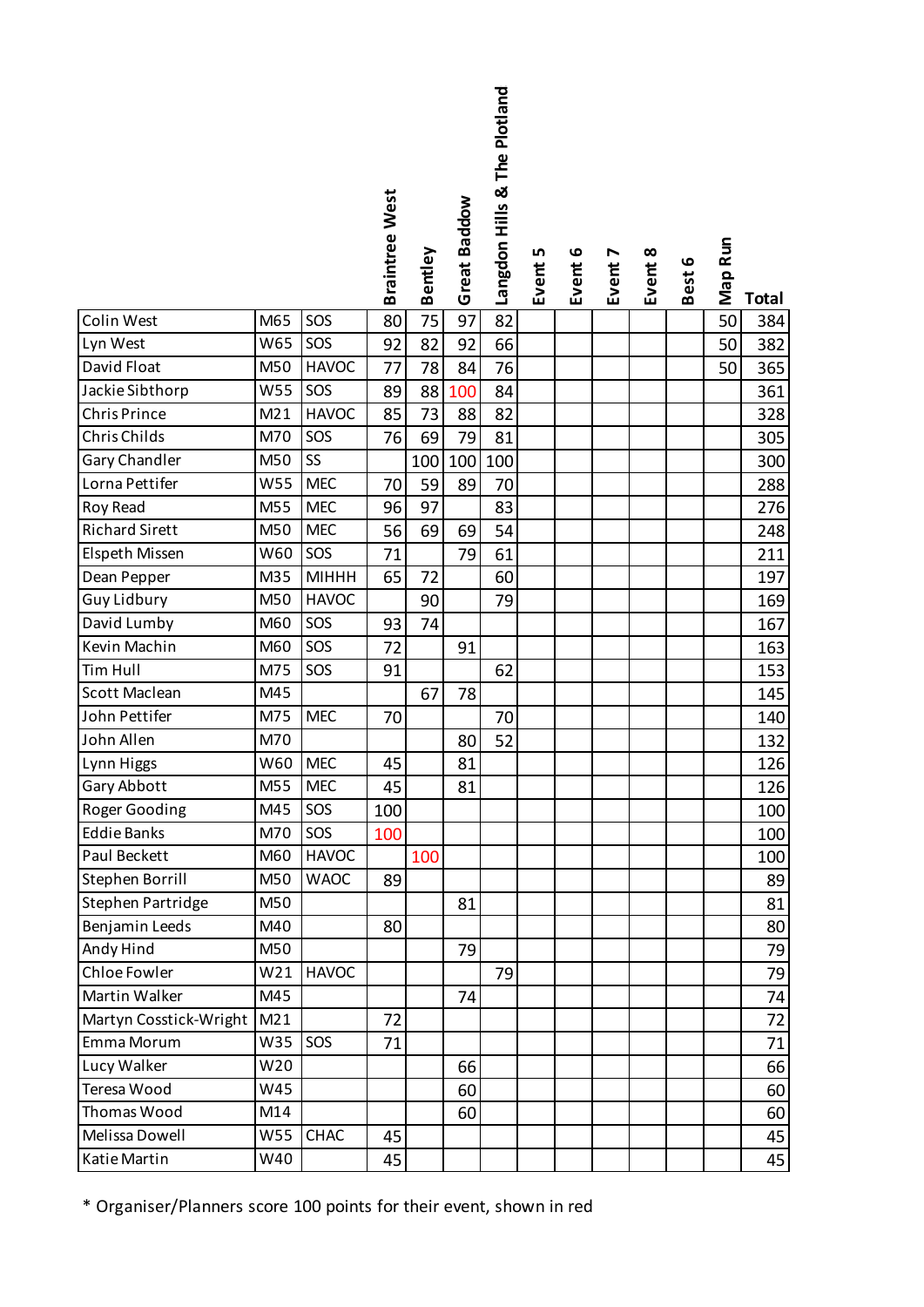|                        |            |              | <b>Braintree West</b> |         | Great Baddow | Langdon Hills & The Plotland: |         |         |         |         |        |         |              |
|------------------------|------------|--------------|-----------------------|---------|--------------|-------------------------------|---------|---------|---------|---------|--------|---------|--------------|
|                        |            |              |                       | Bentley |              |                               | Event 5 | Event 6 | Event 7 | Event 8 | Best 6 | Map Run |              |
|                        |            | SOS          |                       |         |              |                               |         |         |         |         |        |         | <b>Total</b> |
| Colin West             | M65<br>W65 |              | 80                    | 75      | 97           | 82                            |         |         |         |         |        | 50      | 384          |
| Lyn West               |            | SOS          | 92                    | 82      | 92           | 66                            |         |         |         |         |        | 50      | 382          |
| David Float            | M50        | <b>HAVOC</b> | 77                    | 78      | 84           | 76                            |         |         |         |         |        | 50      | 365          |
| Jackie Sibthorp        | W55        | SOS          | 89                    | 88      | 100          | 84                            |         |         |         |         |        |         | 361          |
| <b>Chris Prince</b>    | M21        | <b>HAVOC</b> | 85                    | 73      | 88           | 82                            |         |         |         |         |        |         | 328          |
| Chris Childs           | M70        | SOS          | 76                    | 69      | 79           | 81                            |         |         |         |         |        |         | 305          |
| Gary Chandler          | M50        | SS           |                       | 100     | 100          | 100                           |         |         |         |         |        |         | 300          |
| Lorna Pettifer         | W55        | <b>MEC</b>   | 70                    | 59      | 89           | 70                            |         |         |         |         |        |         | 288          |
| Roy Read               | M55        | <b>MEC</b>   | 96                    | 97      |              | 83                            |         |         |         |         |        |         | 276          |
| <b>Richard Sirett</b>  | M50        | <b>MEC</b>   | 56                    | 69      | 69           | 54                            |         |         |         |         |        |         | 248          |
| Elspeth Missen         | W60        | SOS          | 71                    |         | 79           | 61                            |         |         |         |         |        |         | 211          |
| Dean Pepper            | M35        | <b>MIHHH</b> | 65                    | 72      |              | 60                            |         |         |         |         |        |         | 197          |
| <b>Guy Lidbury</b>     | M50        | <b>HAVOC</b> |                       | 90      |              | 79                            |         |         |         |         |        |         | 169          |
| David Lumby            | M60        | SOS          | 93                    | 74      |              |                               |         |         |         |         |        |         | 167          |
| Kevin Machin           | M60        | SOS          | 72                    |         | 91           |                               |         |         |         |         |        |         | 163          |
| <b>Tim Hull</b>        | M75        | SOS          | 91                    |         |              | 62                            |         |         |         |         |        |         | 153          |
| Scott Maclean          | M45        |              |                       | 67      | 78           |                               |         |         |         |         |        |         | 145          |
| John Pettifer          | M75        | <b>MEC</b>   | 70                    |         |              | 70                            |         |         |         |         |        |         | 140          |
| John Allen             | M70        |              |                       |         | 80           | 52                            |         |         |         |         |        |         | 132          |
| Lynn Higgs             | W60        | <b>MEC</b>   | 45                    |         | 81           |                               |         |         |         |         |        |         | 126          |
| Gary Abbott            | M55        | <b>MEC</b>   | 45                    |         | 81           |                               |         |         |         |         |        |         | 126          |
| Roger Gooding          | M45        | SOS          | 100                   |         |              |                               |         |         |         |         |        |         | 100          |
| <b>Eddie Banks</b>     | M70        | SOS          | 100                   |         |              |                               |         |         |         |         |        |         | 100          |
| Paul Beckett           | M60        | <b>HAVOC</b> |                       | 100     |              |                               |         |         |         |         |        |         | 100          |
| Stephen Borrill        | M50        | <b>WAOC</b>  | 89                    |         |              |                               |         |         |         |         |        |         | 89           |
| Stephen Partridge      | M50        |              |                       |         | 81           |                               |         |         |         |         |        |         | 81           |
| Benjamin Leeds         | M40        |              | 80                    |         |              |                               |         |         |         |         |        |         | 80           |
| Andy Hind              | M50        |              |                       |         | 79           |                               |         |         |         |         |        |         | 79           |
| Chloe Fowler           | W21        | <b>HAVOC</b> |                       |         |              | 79                            |         |         |         |         |        |         | 79           |
| Martin Walker          | M45        |              |                       |         | 74           |                               |         |         |         |         |        |         | 74           |
| Martyn Cosstick-Wright | M21        |              | 72                    |         |              |                               |         |         |         |         |        |         | 72           |
| Emma Morum             | W35        | SOS          | 71                    |         |              |                               |         |         |         |         |        |         | 71           |
| Lucy Walker            | W20        |              |                       |         | 66           |                               |         |         |         |         |        |         | 66           |
| Teresa Wood            | W45        |              |                       |         | 60           |                               |         |         |         |         |        |         | 60           |
| Thomas Wood            | M14        |              |                       |         | 60           |                               |         |         |         |         |        |         | 60           |
| Melissa Dowell         | W55        | <b>CHAC</b>  | 45                    |         |              |                               |         |         |         |         |        |         | 45           |
| Katie Martin           | W40        |              | 45                    |         |              |                               |         |         |         |         |        |         | 45           |

\* Organiser/Planners score 100 points for their event, shown in red

**Plotland:**